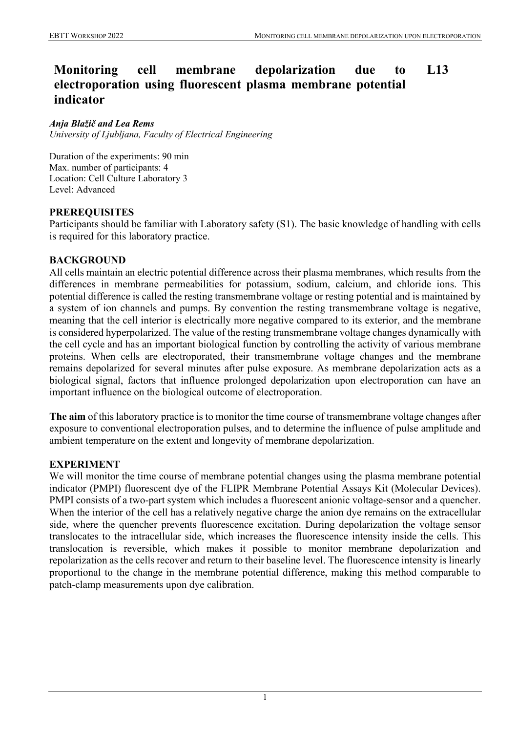#### **Monitoring cell membrane depolarization due to electroporation using fluorescent plasma membrane potential indicator L13**

#### *Anja Blažič and Lea Rems*

*University of Ljubljana, Faculty of Electrical Engineering*

Duration of the experiments: 90 min Max. number of participants: 4 Location: Cell Culture Laboratory 3 Level: Advanced

## **PREREQUISITES**

Participants should be familiar with Laboratory safety (S1). The basic knowledge of handling with cells is required for this laboratory practice.

## **BACKGROUND**

All cells maintain an electric potential difference across their plasma membranes, which results from the differences in membrane permeabilities for potassium, sodium, calcium, and chloride ions. This potential difference is called the resting transmembrane voltage or resting potential and is maintained by a system of ion channels and pumps. By convention the resting transmembrane voltage is negative, meaning that the cell interior is electrically more negative compared to its exterior, and the membrane is considered hyperpolarized. The value of the resting transmembrane voltage changes dynamically with the cell cycle and has an important biological function by controlling the activity of various membrane proteins. When cells are electroporated, their transmembrane voltage changes and the membrane remains depolarized for several minutes after pulse exposure. As membrane depolarization acts as a biological signal, factors that influence prolonged depolarization upon electroporation can have an important influence on the biological outcome of electroporation.

**The aim** of this laboratory practice is to monitor the time course of transmembrane voltage changes after exposure to conventional electroporation pulses, and to determine the influence of pulse amplitude and ambient temperature on the extent and longevity of membrane depolarization.

## **EXPERIMENT**

We will monitor the time course of membrane potential changes using the plasma membrane potential indicator (PMPI) fluorescent dye of the FLIPR Membrane Potential Assays Kit (Molecular Devices). PMPI consists of a two-part system which includes a fluorescent anionic voltage-sensor and a quencher. When the interior of the cell has a relatively negative charge the anion dye remains on the extracellular side, where the quencher prevents fluorescence excitation. During depolarization the voltage sensor translocates to the intracellular side, which increases the fluorescence intensity inside the cells. This translocation is reversible, which makes it possible to monitor membrane depolarization and repolarization as the cells recover and return to their baseline level. The fluorescence intensity is linearly proportional to the change in the membrane potential difference, making this method comparable to patch-clamp measurements upon dye calibration.

1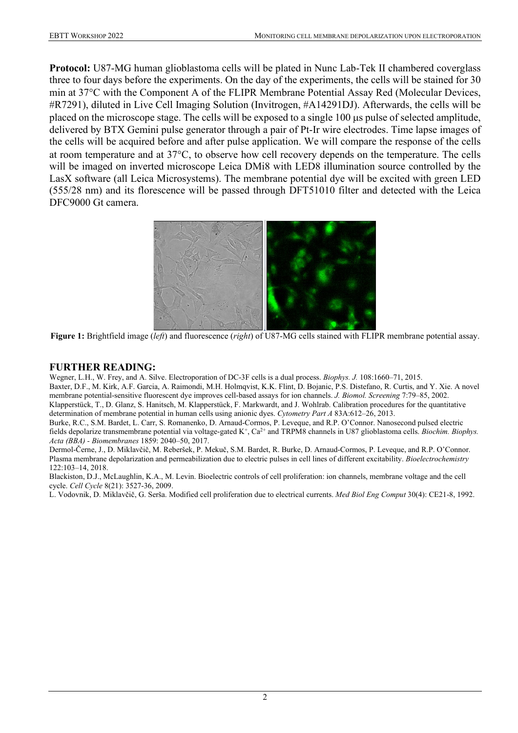**Protocol:** U87-MG human glioblastoma cells will be plated in Nunc Lab-Tek II chambered coverglass three to four days before the experiments. On the day of the experiments, the cells will be stained for 30 min at 37°C with the Component A of the FLIPR Membrane Potential Assay Red (Molecular Devices, #R7291), diluted in Live Cell Imaging Solution (Invitrogen, #A14291DJ). Afterwards, the cells will be placed on the microscope stage. The cells will be exposed to a single 100 µs pulse of selected amplitude, delivered by BTX Gemini pulse generator through a pair of Pt-Ir wire electrodes. Time lapse images of the cells will be acquired before and after pulse application. We will compare the response of the cells at room temperature and at 37°C, to observe how cell recovery depends on the temperature. The cells will be imaged on inverted microscope Leica DMi8 with LED8 illumination source controlled by the LasX software (all Leica Microsystems). The membrane potential dye will be excited with green LED (555/28 nm) and its florescence will be passed through DFT51010 filter and detected with the Leica DFC9000 Gt camera.



**Figure 1:** Brightfield image (*left*) and fluorescence (*right*) of U87-MG cells stained with FLIPR membrane potential assay.

## **FURTHER READING:**

Wegner, L.H., W. Frey, and A. Silve. Electroporation of DC-3F cells is a dual process. *Biophys. J.* 108:1660–71, 2015.

Baxter, D.F., M. Kirk, A.F. Garcia, A. Raimondi, M.H. Holmqvist, K.K. Flint, D. Bojanic, P.S. Distefano, R. Curtis, and Y. Xie. A novel membrane potential-sensitive fluorescent dye improves cell-based assays for ion channels. *J. Biomol. Screening* 7:79–85, 2002.

Klapperstück, T., D. Glanz, S. Hanitsch, M. Klapperstück, F. Markwardt, and J. Wohlrab. Calibration procedures for the quantitative determination of membrane potential in human cells using anionic dyes. *Cytometry Part A* 83A:612–26, 2013.

Burke, R.C., S.M. Bardet, L. Carr, S. Romanenko, D. Arnaud-Cormos, P. Leveque, and R.P. O'Connor. Nanosecond pulsed electric fields depolarize transmembrane potential via voltage-gated K+, Ca2+ and TRPM8 channels in U87 glioblastoma cells. *Biochim. Biophys. Acta (BBA) - Biomembranes* 1859: 2040–50, 2017.

Dermol-Černe, J., D. Miklavčič, M. Reberšek, P. Mekuč, S.M. Bardet, R. Burke, D. Arnaud-Cormos, P. Leveque, and R.P. O'Connor. Plasma membrane depolarization and permeabilization due to electric pulses in cell lines of different excitability. *Bioelectrochemistry* 122:103–14, 2018.

Blackiston, D.J., McLaughlin, K.A., M. Levin. Bioelectric controls of cell proliferation: ion channels, membrane voltage and the cell cycle. *Cell Cycle* 8(21): 3527-36, 2009.

L. Vodovnik, D. Miklavčič, G. Serša. Modified cell proliferation due to electrical currents. *Med Biol Eng Comput* 30(4): CE21-8, 1992.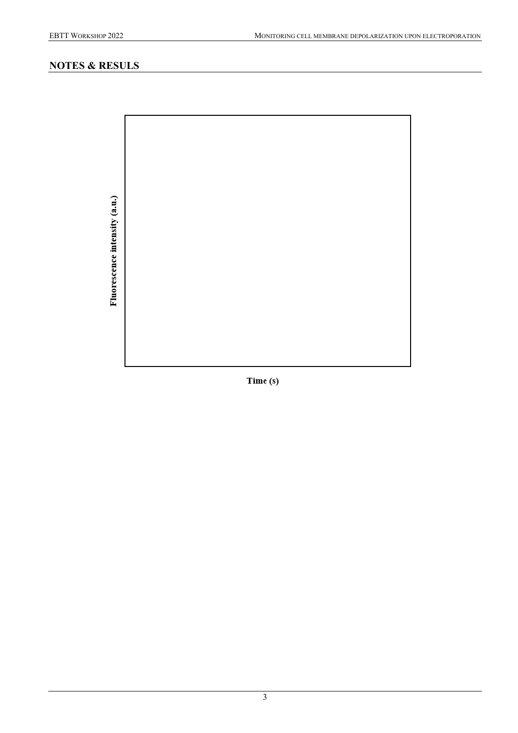# **NOTES & RESULS**

Fluorescence intensity (a.u.)

Time (s)

3